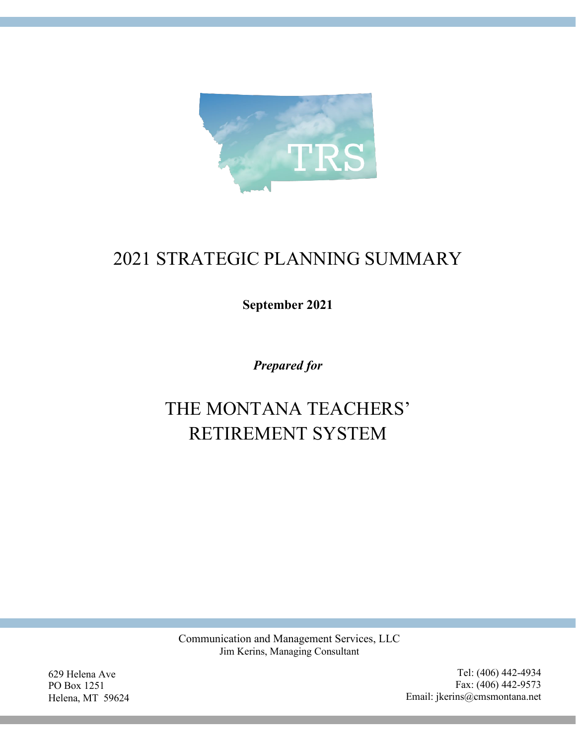

# 2021 STRATEGIC PLANNING SUMMARY

**September 2021**

*Prepared for*

# THE MONTANA TEACHERS' RETIREMENT SYSTEM

Communication and Management Services, LLC Jim Kerins, Managing Consultant

629 Helena Ave PO Box 1251 Helena, MT 59624

Tel: (406) 442-4934 Fax: (406) 442-9573 Email: jkerins@cmsmontana.net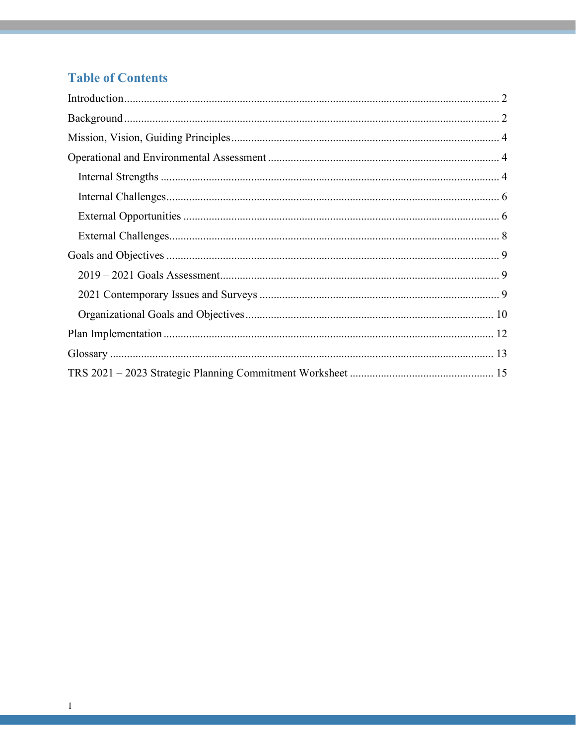# **Table of Contents**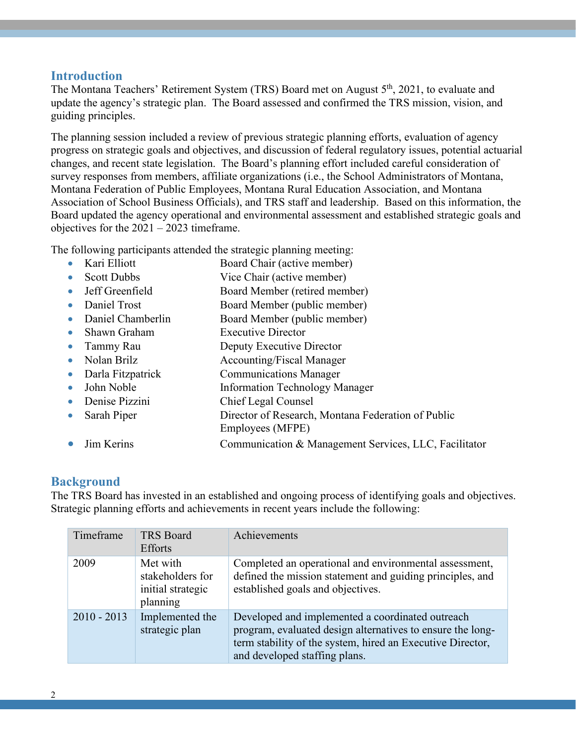#### <span id="page-2-0"></span>**Introduction**

The Montana Teachers' Retirement System (TRS) Board met on August 5<sup>th</sup>, 2021, to evaluate and update the agency's strategic plan. The Board assessed and confirmed the TRS mission, vision, and guiding principles.

The planning session included a review of previous strategic planning efforts, evaluation of agency progress on strategic goals and objectives, and discussion of federal regulatory issues, potential actuarial changes, and recent state legislation. The Board's planning effort included careful consideration of survey responses from members, affiliate organizations (i.e., the School Administrators of Montana, Montana Federation of Public Employees, Montana Rural Education Association, and Montana Association of School Business Officials), and TRS staff and leadership. Based on this information, the Board updated the agency operational and environmental assessment and established strategic goals and objectives for the 2021 – 2023 timeframe.

The following participants attended the strategic planning meeting:

- Kari Elliott Board Chair (active member)
- Scott Dubbs Vice Chair (active member)
- Jeff Greenfield Board Member (retired member)
- Daniel Trost Board Member (public member)
- Daniel Chamberlin Board Member (public member)
- Shawn Graham Executive Director
- Tammy Rau Deputy Executive Director
- Nolan Brilz Accounting/Fiscal Manager
- Darla Fitzpatrick Communications Manager
- John Noble Information Technology Manager
- Denise Pizzini Chief Legal Counsel
- Sarah Piper Director of Research, Montana Federation of Public
- Employees (MFPE)
	- Jim Kerins Communication & Management Services, LLC, Facilitator

#### <span id="page-2-1"></span>**Background**

The TRS Board has invested in an established and ongoing process of identifying goals and objectives. Strategic planning efforts and achievements in recent years include the following:

| Timeframe     | <b>TRS Board</b><br><b>Efforts</b>                            | Achievements                                                                                                                                                                                                  |
|---------------|---------------------------------------------------------------|---------------------------------------------------------------------------------------------------------------------------------------------------------------------------------------------------------------|
| 2009          | Met with<br>stakeholders for<br>initial strategic<br>planning | Completed an operational and environmental assessment,<br>defined the mission statement and guiding principles, and<br>established goals and objectives.                                                      |
| $2010 - 2013$ | Implemented the<br>strategic plan                             | Developed and implemented a coordinated outreach<br>program, evaluated design alternatives to ensure the long-<br>term stability of the system, hired an Executive Director,<br>and developed staffing plans. |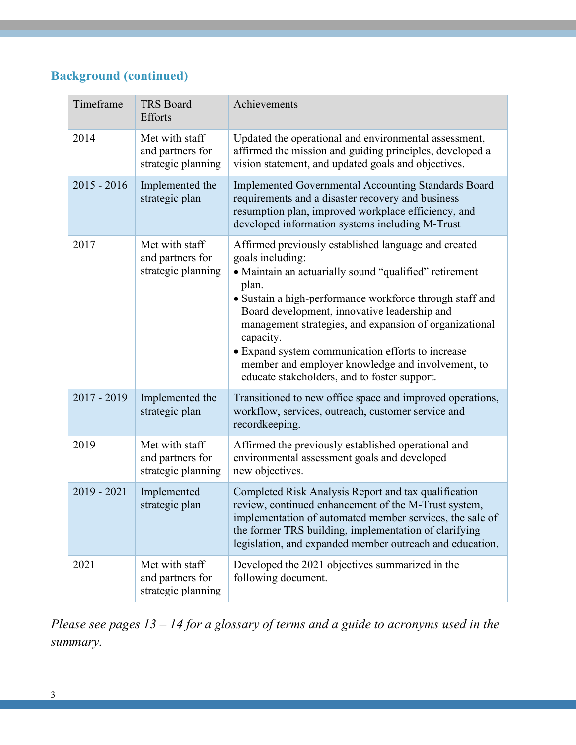# **Background (continued)**

| Timeframe     | <b>TRS Board</b><br>Efforts                              | Achievements                                                                                                                                                                                                                                                                                                                                                                                                                                                                             |
|---------------|----------------------------------------------------------|------------------------------------------------------------------------------------------------------------------------------------------------------------------------------------------------------------------------------------------------------------------------------------------------------------------------------------------------------------------------------------------------------------------------------------------------------------------------------------------|
| 2014          | Met with staff<br>and partners for<br>strategic planning | Updated the operational and environmental assessment,<br>affirmed the mission and guiding principles, developed a<br>vision statement, and updated goals and objectives.                                                                                                                                                                                                                                                                                                                 |
| $2015 - 2016$ | Implemented the<br>strategic plan                        | Implemented Governmental Accounting Standards Board<br>requirements and a disaster recovery and business<br>resumption plan, improved workplace efficiency, and<br>developed information systems including M-Trust                                                                                                                                                                                                                                                                       |
| 2017          | Met with staff<br>and partners for<br>strategic planning | Affirmed previously established language and created<br>goals including:<br>• Maintain an actuarially sound "qualified" retirement<br>plan.<br>• Sustain a high-performance workforce through staff and<br>Board development, innovative leadership and<br>management strategies, and expansion of organizational<br>capacity.<br>• Expand system communication efforts to increase<br>member and employer knowledge and involvement, to<br>educate stakeholders, and to foster support. |
| $2017 - 2019$ | Implemented the<br>strategic plan                        | Transitioned to new office space and improved operations,<br>workflow, services, outreach, customer service and<br>recordkeeping.                                                                                                                                                                                                                                                                                                                                                        |
| 2019          | Met with staff<br>and partners for<br>strategic planning | Affirmed the previously established operational and<br>environmental assessment goals and developed<br>new objectives.                                                                                                                                                                                                                                                                                                                                                                   |
| $2019 - 2021$ | Implemented<br>strategic plan                            | Completed Risk Analysis Report and tax qualification<br>review, continued enhancement of the M-Trust system,<br>implementation of automated member services, the sale of<br>the former TRS building, implementation of clarifying<br>legislation, and expanded member outreach and education.                                                                                                                                                                                            |
| 2021          | Met with staff<br>and partners for<br>strategic planning | Developed the 2021 objectives summarized in the<br>following document.                                                                                                                                                                                                                                                                                                                                                                                                                   |

*Please see pages 13 – 14 for a glossary of terms and a guide to acronyms used in the summary.*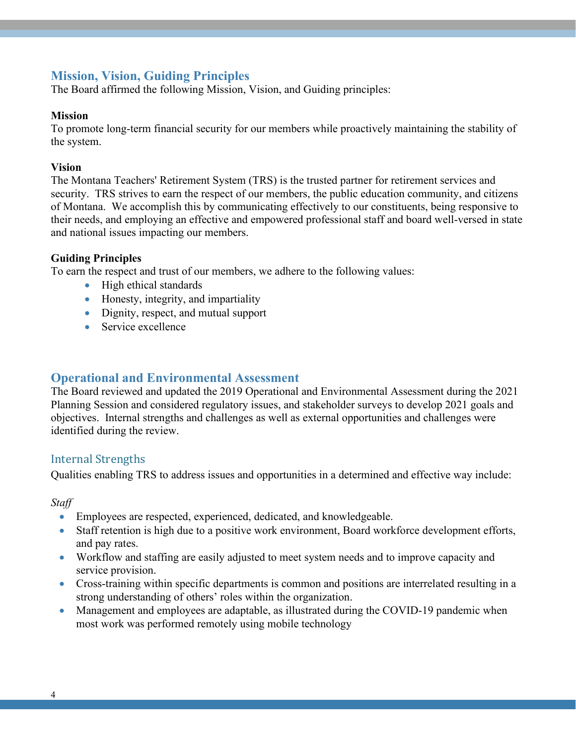### <span id="page-4-0"></span>**Mission, Vision, Guiding Principles**

The Board affirmed the following Mission, Vision, and Guiding principles:

#### **Mission**

To promote long-term financial security for our members while proactively maintaining the stability of the system.

#### **Vision**

The Montana Teachers' Retirement System (TRS) is the trusted partner for retirement services and security. TRS strives to earn the respect of our members, the public education community, and citizens of Montana. We accomplish this by communicating effectively to our constituents, being responsive to their needs, and employing an effective and empowered professional staff and board well-versed in state and national issues impacting our members.

#### **Guiding Principles**

To earn the respect and trust of our members, we adhere to the following values:

- High ethical standards
- Honesty, integrity, and impartiality
- Dignity, respect, and mutual support
- Service excellence

#### <span id="page-4-1"></span>**Operational and Environmental Assessment**

The Board reviewed and updated the 2019 Operational and Environmental Assessment during the 2021 Planning Session and considered regulatory issues, and stakeholder surveys to develop 2021 goals and objectives. Internal strengths and challenges as well as external opportunities and challenges were identified during the review.

#### <span id="page-4-2"></span>Internal Strengths

Qualities enabling TRS to address issues and opportunities in a determined and effective way include:

*Staff* 

- Employees are respected, experienced, dedicated, and knowledgeable.
- Staff retention is high due to a positive work environment, Board workforce development efforts, and pay rates.
- Workflow and staffing are easily adjusted to meet system needs and to improve capacity and service provision.
- Cross-training within specific departments is common and positions are interrelated resulting in a strong understanding of others' roles within the organization.
- Management and employees are adaptable, as illustrated during the COVID-19 pandemic when most work was performed remotely using mobile technology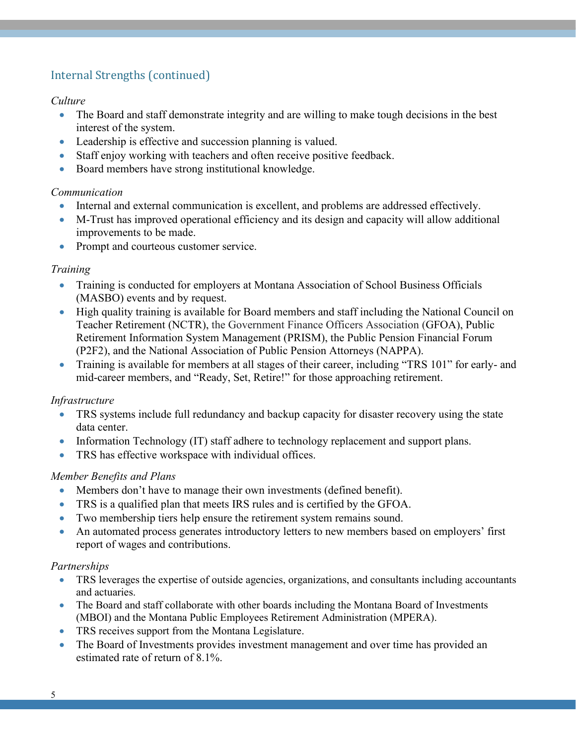# Internal Strengths (continued)

#### *Culture*

- The Board and staff demonstrate integrity and are willing to make tough decisions in the best interest of the system.
- Leadership is effective and succession planning is valued.
- Staff enjoy working with teachers and often receive positive feedback.
- Board members have strong institutional knowledge.

#### *Communication*

- Internal and external communication is excellent, and problems are addressed effectively.
- M-Trust has improved operational efficiency and its design and capacity will allow additional improvements to be made.
- Prompt and courteous customer service.

#### *Training*

- Training is conducted for employers at Montana Association of School Business Officials (MASBO) events and by request.
- High quality training is available for Board members and staff including the National Council on Teacher Retirement (NCTR), the Government Finance Officers Association (GFOA), Public Retirement Information System Management (PRISM), the Public Pension Financial Forum (P2F2), and the National Association of Public Pension Attorneys (NAPPA).
- Training is available for members at all stages of their career, including "TRS 101" for early- and mid-career members, and "Ready, Set, Retire!" for those approaching retirement.

#### *Infrastructure*

- TRS systems include full redundancy and backup capacity for disaster recovery using the state data center.
- Information Technology (IT) staff adhere to technology replacement and support plans.
- TRS has effective workspace with individual offices.

#### *Member Benefits and Plans*

- Members don't have to manage their own investments (defined benefit).
- TRS is a qualified plan that meets IRS rules and is certified by the GFOA.
- Two membership tiers help ensure the retirement system remains sound.
- An automated process generates introductory letters to new members based on employers' first report of wages and contributions.

#### *Partnerships*

- TRS leverages the expertise of outside agencies, organizations, and consultants including accountants and actuaries.
- The Board and staff collaborate with other boards including the Montana Board of Investments (MBOI) and the Montana Public Employees Retirement Administration (MPERA).
- TRS receives support from the Montana Legislature.
- The Board of Investments provides investment management and over time has provided an estimated rate of return of 8.1%.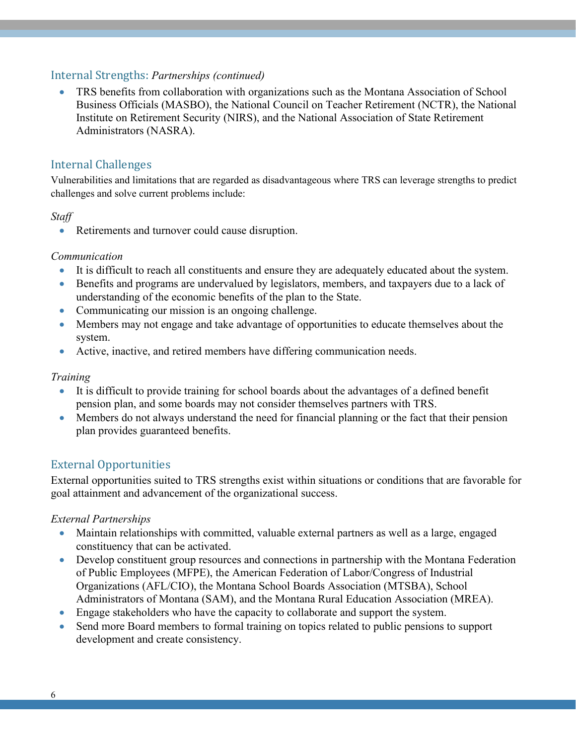#### Internal Strengths: *Partnerships (continued)*

• TRS benefits from collaboration with organizations such as the Montana Association of School Business Officials (MASBO), the National Council on Teacher Retirement (NCTR), the National Institute on Retirement Security (NIRS), and the National Association of State Retirement Administrators (NASRA).

#### <span id="page-6-0"></span>Internal Challenges

Vulnerabilities and limitations that are regarded as disadvantageous where TRS can leverage strengths to predict challenges and solve current problems include:

#### *Staff*

• Retirements and turnover could cause disruption.

#### *Communication*

- It is difficult to reach all constituents and ensure they are adequately educated about the system.
- Benefits and programs are undervalued by legislators, members, and taxpayers due to a lack of understanding of the economic benefits of the plan to the State.
- Communicating our mission is an ongoing challenge.
- Members may not engage and take advantage of opportunities to educate themselves about the system.
- Active, inactive, and retired members have differing communication needs.

#### *Training*

- It is difficult to provide training for school boards about the advantages of a defined benefit pension plan, and some boards may not consider themselves partners with TRS.
- Members do not always understand the need for financial planning or the fact that their pension plan provides guaranteed benefits.

#### <span id="page-6-1"></span>External Opportunities

External opportunities suited to TRS strengths exist within situations or conditions that are favorable for goal attainment and advancement of the organizational success.

#### *External Partnerships*

- Maintain relationships with committed, valuable external partners as well as a large, engaged constituency that can be activated.
- Develop constituent group resources and connections in partnership with the Montana Federation of Public Employees (MFPE), the American Federation of Labor/Congress of Industrial Organizations (AFL/CIO), the Montana School Boards Association (MTSBA), School Administrators of Montana (SAM), and the Montana Rural Education Association (MREA).
- Engage stakeholders who have the capacity to collaborate and support the system.
- Send more Board members to formal training on topics related to public pensions to support development and create consistency.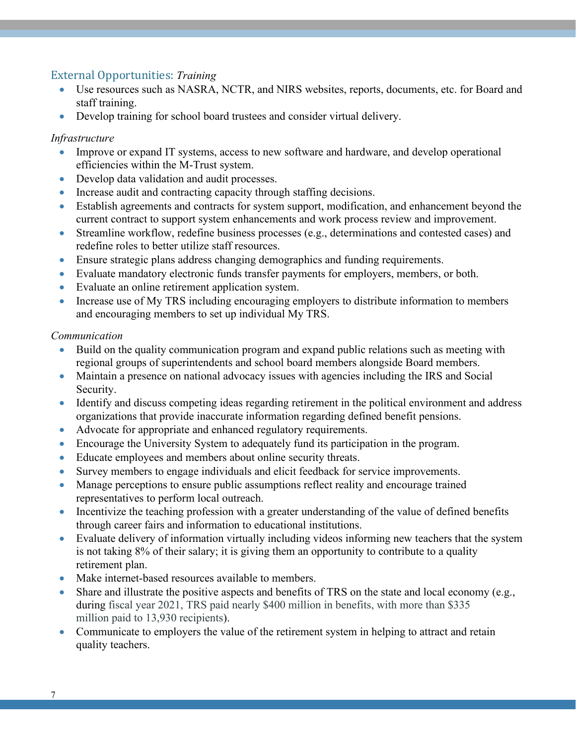#### External Opportunities: *Training*

- Use resources such as NASRA, NCTR, and NIRS websites, reports, documents, etc. for Board and staff training.
- Develop training for school board trustees and consider virtual delivery.

#### *Infrastructure*

- Improve or expand IT systems, access to new software and hardware, and develop operational efficiencies within the M-Trust system.
- Develop data validation and audit processes.
- Increase audit and contracting capacity through staffing decisions.
- Establish agreements and contracts for system support, modification, and enhancement beyond the current contract to support system enhancements and work process review and improvement.
- Streamline workflow, redefine business processes (e.g., determinations and contested cases) and redefine roles to better utilize staff resources.
- Ensure strategic plans address changing demographics and funding requirements.
- Evaluate mandatory electronic funds transfer payments for employers, members, or both.
- Evaluate an online retirement application system.
- Increase use of My TRS including encouraging employers to distribute information to members and encouraging members to set up individual My TRS.

#### *Communication*

- Build on the quality communication program and expand public relations such as meeting with regional groups of superintendents and school board members alongside Board members.
- Maintain a presence on national advocacy issues with agencies including the IRS and Social Security.
- Identify and discuss competing ideas regarding retirement in the political environment and address organizations that provide inaccurate information regarding defined benefit pensions.
- Advocate for appropriate and enhanced regulatory requirements.
- Encourage the University System to adequately fund its participation in the program.
- Educate employees and members about online security threats.
- Survey members to engage individuals and elicit feedback for service improvements.
- Manage perceptions to ensure public assumptions reflect reality and encourage trained representatives to perform local outreach.
- Incentivize the teaching profession with a greater understanding of the value of defined benefits through career fairs and information to educational institutions.
- Evaluate delivery of information virtually including videos informing new teachers that the system is not taking 8% of their salary; it is giving them an opportunity to contribute to a quality retirement plan.
- Make internet-based resources available to members.
- Share and illustrate the positive aspects and benefits of TRS on the state and local economy (e.g., during fiscal year 2021, TRS paid nearly \$400 million in benefits, with more than \$335 million paid to 13,930 recipients).
- Communicate to employers the value of the retirement system in helping to attract and retain quality teachers.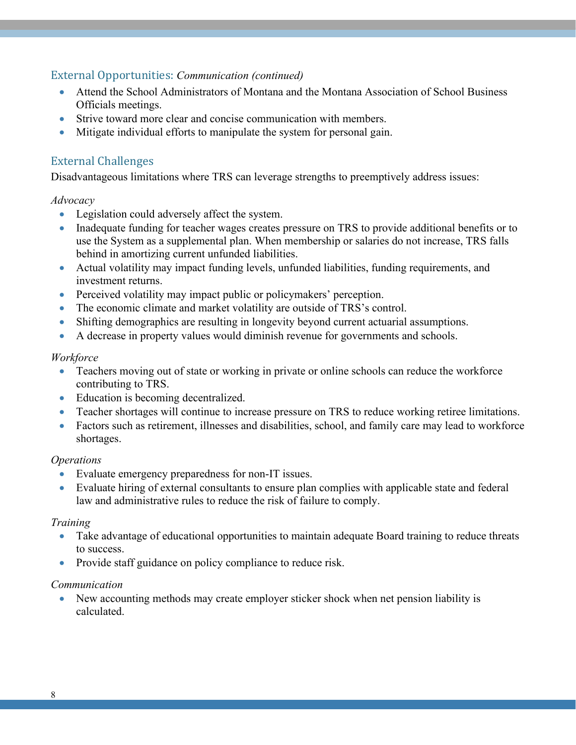External Opportunities: *Communication (continued)*

- Attend the School Administrators of Montana and the Montana Association of School Business Officials meetings.
- Strive toward more clear and concise communication with members.
- Mitigate individual efforts to manipulate the system for personal gain.

#### <span id="page-8-0"></span>External Challenges

Disadvantageous limitations where TRS can leverage strengths to preemptively address issues:

#### *Advocacy*

- Legislation could adversely affect the system.
- Inadequate funding for teacher wages creates pressure on TRS to provide additional benefits or to use the System as a supplemental plan. When membership or salaries do not increase, TRS falls behind in amortizing current unfunded liabilities.
- Actual volatility may impact funding levels, unfunded liabilities, funding requirements, and investment returns.
- Perceived volatility may impact public or policymakers' perception.
- The economic climate and market volatility are outside of TRS's control.
- Shifting demographics are resulting in longevity beyond current actuarial assumptions.
- A decrease in property values would diminish revenue for governments and schools.

#### *Workforce*

- Teachers moving out of state or working in private or online schools can reduce the workforce contributing to TRS.
- Education is becoming decentralized.
- Teacher shortages will continue to increase pressure on TRS to reduce working retiree limitations.
- Factors such as retirement, illnesses and disabilities, school, and family care may lead to workforce shortages.

#### *Operations*

- Evaluate emergency preparedness for non-IT issues.
- Evaluate hiring of external consultants to ensure plan complies with applicable state and federal law and administrative rules to reduce the risk of failure to comply.

#### *Training*

- Take advantage of educational opportunities to maintain adequate Board training to reduce threats to success.
- Provide staff guidance on policy compliance to reduce risk.

#### *Communication*

• New accounting methods may create employer sticker shock when net pension liability is calculated.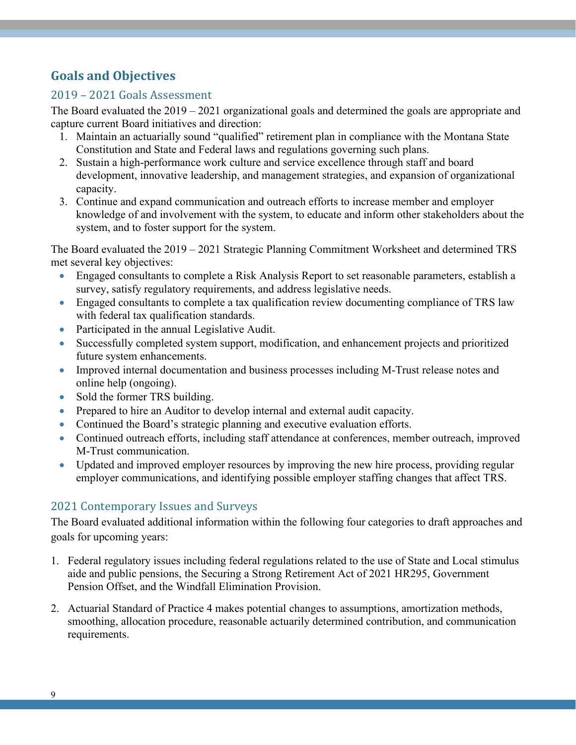# <span id="page-9-0"></span>**Goals and Objectives**

#### <span id="page-9-1"></span>2019 – 2021 Goals Assessment

The Board evaluated the 2019 – 2021 organizational goals and determined the goals are appropriate and capture current Board initiatives and direction:

- 1. Maintain an actuarially sound "qualified" retirement plan in compliance with the Montana State Constitution and State and Federal laws and regulations governing such plans.
- 2. Sustain a high-performance work culture and service excellence through staff and board development, innovative leadership, and management strategies, and expansion of organizational capacity.
- 3. Continue and expand communication and outreach efforts to increase member and employer knowledge of and involvement with the system, to educate and inform other stakeholders about the system, and to foster support for the system.

The Board evaluated the 2019 – 2021 Strategic Planning Commitment Worksheet and determined TRS met several key objectives:

- Engaged consultants to complete a Risk Analysis Report to set reasonable parameters, establish a survey, satisfy regulatory requirements, and address legislative needs.
- Engaged consultants to complete a tax qualification review documenting compliance of TRS law with federal tax qualification standards.
- Participated in the annual Legislative Audit.
- Successfully completed system support, modification, and enhancement projects and prioritized future system enhancements.
- Improved internal documentation and business processes including M-Trust release notes and online help (ongoing).
- Sold the former TRS building.
- Prepared to hire an Auditor to develop internal and external audit capacity.
- Continued the Board's strategic planning and executive evaluation efforts.
- Continued outreach efforts, including staff attendance at conferences, member outreach, improved M-Trust communication.
- Updated and improved employer resources by improving the new hire process, providing regular employer communications, and identifying possible employer staffing changes that affect TRS.

## <span id="page-9-2"></span>2021 Contemporary Issues and Surveys

The Board evaluated additional information within the following four categories to draft approaches and goals for upcoming years:

- 1. Federal regulatory issues including federal regulations related to the use of State and Local stimulus aide and public pensions, the Securing a Strong Retirement Act of 2021 HR295, Government Pension Offset, and the Windfall Elimination Provision.
- 2. Actuarial Standard of Practice 4 makes potential changes to assumptions, amortization methods, smoothing, allocation procedure, reasonable actuarily determined contribution, and communication requirements.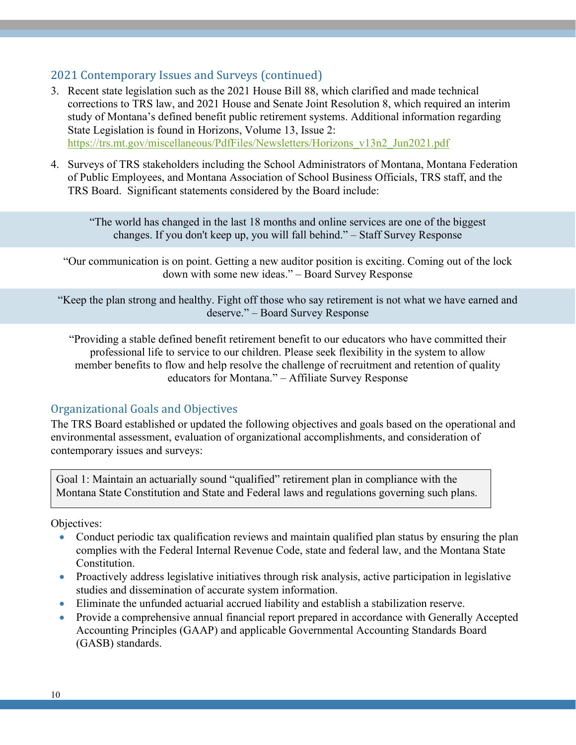#### 2021 Contemporary Issues and Surveys (continued)

- 3. Recent state legislation such as the 2021 House Bill 88, which clarified and made technical corrections to TRS law, and 2021 House and Senate Joint Resolution 8, which required an interim study of Montana's defined benefit public retirement systems. Additional information regarding State Legislation is found in Horizons, Volume 13, Issue 2: [https://trs.mt.gov/miscellaneous/PdfFiles/Newsletters/Horizons\\_v13n2\\_Jun2021.pdf](https://trs.mt.gov/miscellaneous/PdfFiles/Newsletters/Horizons_v13n2_Jun2021.pdf)
- 4. Surveys of TRS stakeholders including the School Administrators of Montana, Montana Federation of Public Employees, and Montana Association of School Business Officials, TRS staff, and the TRS Board. Significant statements considered by the Board include:

"The world has changed in the last 18 months and online services are one of the biggest changes. If you don't keep up, you will fall behind." – Staff Survey Response

"Our communication is on point. Getting a new auditor position is exciting. Coming out of the lock down with some new ideas." – Board Survey Response

"Keep the plan strong and healthy. Fight off those who say retirement is not what we have earned and deserve." – Board Survey Response

"Providing a stable defined benefit retirement benefit to our educators who have committed their professional life to service to our children. Please seek flexibility in the system to allow member benefits to flow and help resolve the challenge of recruitment and retention of quality educators for Montana." – Affiliate Survey Response

#### <span id="page-10-0"></span>Organizational Goals and Objectives

The TRS Board established or updated the following objectives and goals based on the operational and environmental assessment, evaluation of organizational accomplishments, and consideration of contemporary issues and surveys:

Goal 1: Maintain an actuarially sound "qualified" retirement plan in compliance with the Montana State Constitution and State and Federal laws and regulations governing such plans.

Objectives:

- Conduct periodic tax qualification reviews and maintain qualified plan status by ensuring the plan complies with the Federal Internal Revenue Code, state and federal law, and the Montana State Constitution.
- Proactively address legislative initiatives through risk analysis, active participation in legislative studies and dissemination of accurate system information.
- Eliminate the unfunded actuarial accrued liability and establish a stabilization reserve.
- Provide a comprehensive annual financial report prepared in accordance with Generally Accepted Accounting Principles (GAAP) and applicable Governmental Accounting Standards Board (GASB) standards.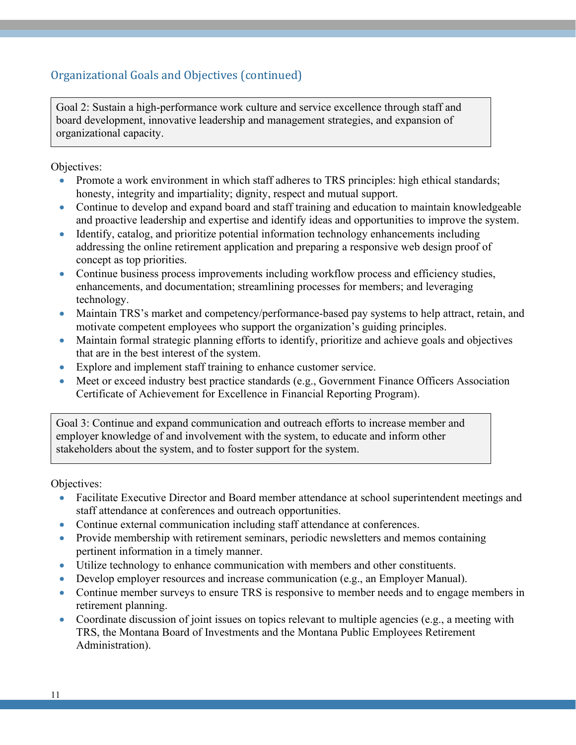## Organizational Goals and Objectives (continued)

Goal 2: Sustain a high-performance work culture and service excellence through staff and board development, innovative leadership and management strategies, and expansion of organizational capacity.

Objectives:

- Promote a work environment in which staff adheres to TRS principles: high ethical standards; honesty, integrity and impartiality; dignity, respect and mutual support.
- Continue to develop and expand board and staff training and education to maintain knowledgeable and proactive leadership and expertise and identify ideas and opportunities to improve the system.
- Identify, catalog, and prioritize potential information technology enhancements including addressing the online retirement application and preparing a responsive web design proof of concept as top priorities.
- Continue business process improvements including workflow process and efficiency studies, enhancements, and documentation; streamlining processes for members; and leveraging technology.
- Maintain TRS's market and competency/performance-based pay systems to help attract, retain, and motivate competent employees who support the organization's guiding principles.
- Maintain formal strategic planning efforts to identify, prioritize and achieve goals and objectives that are in the best interest of the system.
- Explore and implement staff training to enhance customer service.
- Meet or exceed industry best practice standards (e.g., Government Finance Officers Association Certificate of Achievement for Excellence in Financial Reporting Program).

Goal 3: Continue and expand communication and outreach efforts to increase member and employer knowledge of and involvement with the system, to educate and inform other stakeholders about the system, and to foster support for the system.

Objectives:

- Facilitate Executive Director and Board member attendance at school superintendent meetings and staff attendance at conferences and outreach opportunities.
- Continue external communication including staff attendance at conferences.
- Provide membership with retirement seminars, periodic newsletters and memos containing pertinent information in a timely manner.
- Utilize technology to enhance communication with members and other constituents.
- Develop employer resources and increase communication (e.g., an Employer Manual).
- Continue member surveys to ensure TRS is responsive to member needs and to engage members in retirement planning.
- Coordinate discussion of joint issues on topics relevant to multiple agencies (e.g., a meeting with TRS, the Montana Board of Investments and the Montana Public Employees Retirement Administration).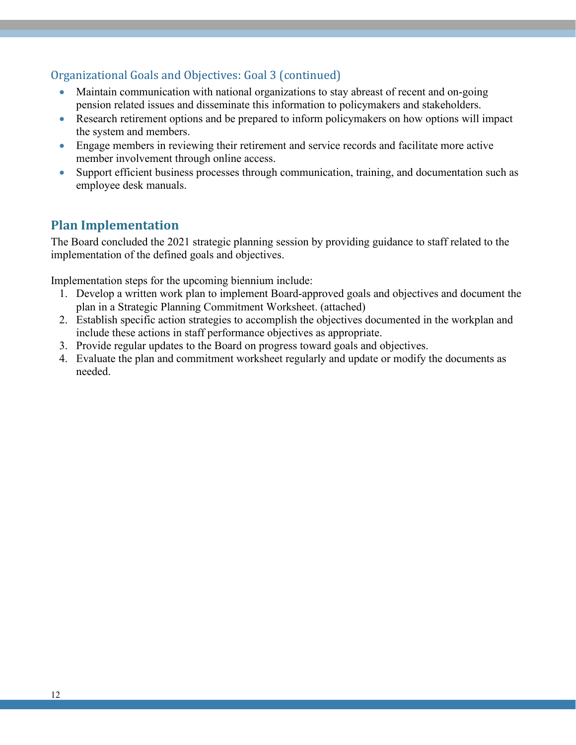## Organizational Goals and Objectives: Goal 3 (continued)

- Maintain communication with national organizations to stay abreast of recent and on-going pension related issues and disseminate this information to policymakers and stakeholders.
- Research retirement options and be prepared to inform policymakers on how options will impact the system and members.
- Engage members in reviewing their retirement and service records and facilitate more active member involvement through online access.
- Support efficient business processes through communication, training, and documentation such as employee desk manuals.

# <span id="page-12-0"></span>**Plan Implementation**

The Board concluded the 2021 strategic planning session by providing guidance to staff related to the implementation of the defined goals and objectives.

Implementation steps for the upcoming biennium include:

- 1. Develop a written work plan to implement Board-approved goals and objectives and document the plan in a Strategic Planning Commitment Worksheet. (attached)
- 2. Establish specific action strategies to accomplish the objectives documented in the workplan and include these actions in staff performance objectives as appropriate.
- 3. Provide regular updates to the Board on progress toward goals and objectives.
- <span id="page-12-1"></span>4. Evaluate the plan and commitment worksheet regularly and update or modify the documents as needed.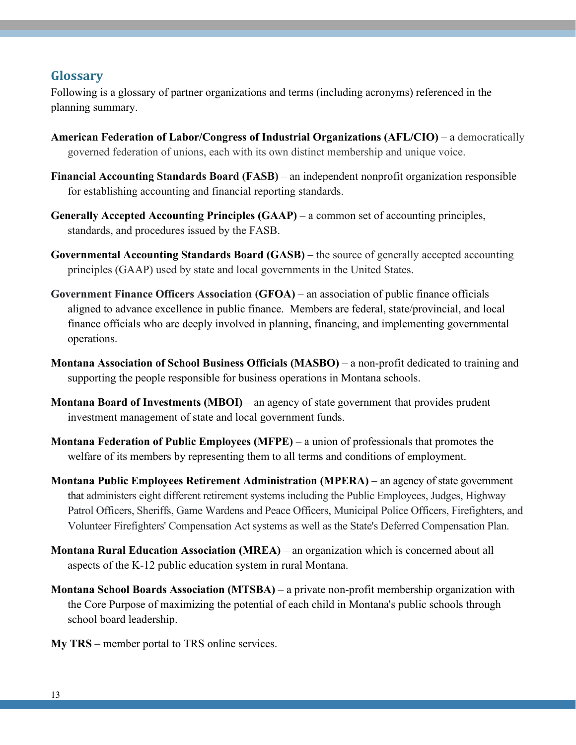#### **Glossary**

Following is a glossary of partner organizations and terms (including acronyms) referenced in the planning summary.

- **American Federation of Labor/Congress of Industrial Organizations (AFL/CIO)** a democratically governed federation of unions, each with its own distinct membership and unique voice.
- **Financial Accounting Standards Board (FASB)** an independent nonprofit organization responsible for establishing accounting and financial reporting standards.
- **Generally Accepted Accounting Principles (GAAP)** a common set of accounting principles, standards, and procedures issued by the FASB.
- **Governmental Accounting Standards Board (GASB)** the source of generally accepted accounting principles (GAAP) used by state and local governments in the United States.
- **Government Finance Officers Association (GFOA)** an association of public finance officials aligned to advance excellence in public finance. Members are federal, state/provincial, and local finance officials who are deeply involved in planning, financing, and implementing governmental operations.
- **Montana Association of School Business Officials (MASBO)**  a non-profit dedicated to training and supporting the people responsible for business operations in Montana schools.
- **Montana Board of Investments (MBOI)** an agency of state government that provides prudent investment management of state and local government funds.
- **Montana Federation of Public Employees (MFPE)** a union of professionals that promotes the welfare of its members by representing them to all terms and conditions of employment.
- **Montana Public Employees Retirement Administration (MPERA)** an agency of state government that administers eight different retirement systems including the Public Employees, Judges, Highway Patrol Officers, Sheriffs, Game Wardens and Peace Officers, Municipal Police Officers, Firefighters, and Volunteer Firefighters' Compensation Act systems as well as the State's Deferred Compensation Plan.
- **Montana Rural Education Association (MREA)** an organization which is concerned about all aspects of the K-12 public education system in rural Montana.
- **Montana School Boards Association (MTSBA)** a private non-profit membership organization with the Core Purpose of maximizing the potential of each child in Montana's public schools through school board leadership.
- **My TRS** member portal to TRS online services.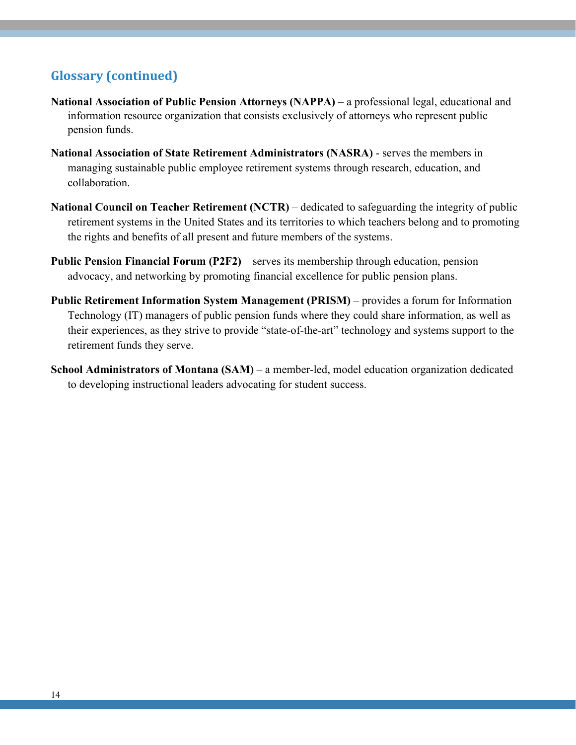# **Glossary (continued)**

- **National Association of Public Pension Attorneys (NAPPA)**  a professional legal, educational and information resource organization that consists exclusively of attorneys who represent public pension funds.
- **National Association of State Retirement Administrators (NASRA)** serves the members in managing sustainable public employee retirement systems through research, education, and collaboration.
- **National Council on Teacher Retirement (NCTR)** dedicated to safeguarding the integrity of public retirement systems in the United States and its territories to which teachers belong and to promoting the rights and benefits of all present and future members of the systems.
- **Public Pension Financial Forum (P2F2)** serves its membership through education, pension advocacy, and networking by promoting financial excellence for public pension plans.
- **Public Retirement Information System Management (PRISM)** provides a forum for Information Technology (IT) managers of public pension funds where they could share information, as well as their experiences, as they strive to provide "state-of-the-art" technology and systems support to the retirement funds they serve.
- **School Administrators of Montana (SAM)** a member-led, model education organization dedicated to developing instructional leaders advocating for student success.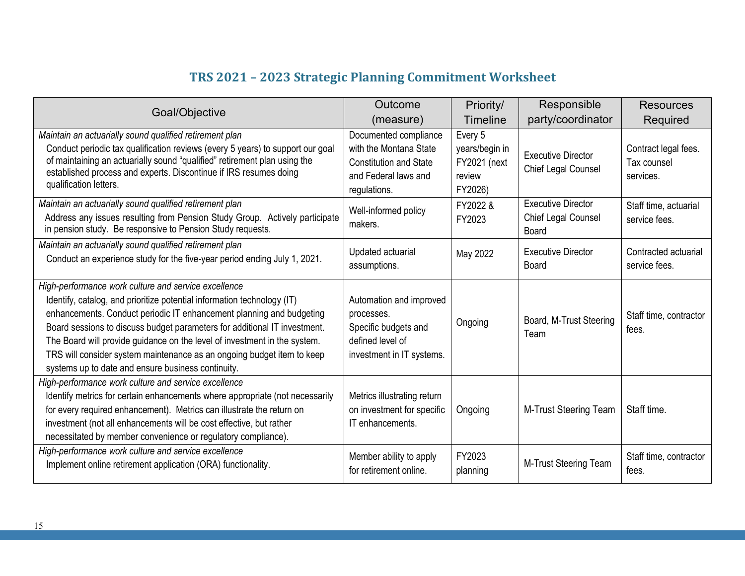# **TRS 2021 – 2023 Strategic Planning Commitment Worksheet**

<span id="page-15-0"></span>

|                                                                                                                                                                                                                                                                                                                                                                                                                                                                                                   | Outcome                                                                                                                  | Priority/                                                             | Responsible                                               | <b>Resources</b>                                 |
|---------------------------------------------------------------------------------------------------------------------------------------------------------------------------------------------------------------------------------------------------------------------------------------------------------------------------------------------------------------------------------------------------------------------------------------------------------------------------------------------------|--------------------------------------------------------------------------------------------------------------------------|-----------------------------------------------------------------------|-----------------------------------------------------------|--------------------------------------------------|
| Goal/Objective                                                                                                                                                                                                                                                                                                                                                                                                                                                                                    | (measure)                                                                                                                | <b>Timeline</b>                                                       | party/coordinator                                         | Required                                         |
| Maintain an actuarially sound qualified retirement plan<br>Conduct periodic tax qualification reviews (every 5 years) to support our goal<br>of maintaining an actuarially sound "qualified" retirement plan using the<br>established process and experts. Discontinue if IRS resumes doing<br>qualification letters.                                                                                                                                                                             | Documented compliance<br>with the Montana State<br><b>Constitution and State</b><br>and Federal laws and<br>regulations. | Every 5<br>years/begin in<br><b>FY2021</b> (next<br>review<br>FY2026) | <b>Executive Director</b><br>Chief Legal Counsel          | Contract legal fees.<br>Tax counsel<br>services. |
| Maintain an actuarially sound qualified retirement plan<br>Address any issues resulting from Pension Study Group. Actively participate<br>in pension study. Be responsive to Pension Study requests.                                                                                                                                                                                                                                                                                              | Well-informed policy<br>makers.                                                                                          | FY2022 &<br>FY2023                                                    | <b>Executive Director</b><br>Chief Legal Counsel<br>Board | Staff time, actuarial<br>service fees.           |
| Maintain an actuarially sound qualified retirement plan<br>Conduct an experience study for the five-year period ending July 1, 2021.                                                                                                                                                                                                                                                                                                                                                              | Updated actuarial<br>assumptions.                                                                                        | May 2022                                                              | <b>Executive Director</b><br>Board                        | Contracted actuarial<br>service fees.            |
| High-performance work culture and service excellence<br>Identify, catalog, and prioritize potential information technology (IT)<br>enhancements. Conduct periodic IT enhancement planning and budgeting<br>Board sessions to discuss budget parameters for additional IT investment.<br>The Board will provide guidance on the level of investment in the system.<br>TRS will consider system maintenance as an ongoing budget item to keep<br>systems up to date and ensure business continuity. | Automation and improved<br>processes.<br>Specific budgets and<br>defined level of<br>investment in IT systems.           | Ongoing                                                               | Board, M-Trust Steering<br>Team                           | Staff time, contractor<br>fees.                  |
| High-performance work culture and service excellence<br>Identify metrics for certain enhancements where appropriate (not necessarily<br>for every required enhancement). Metrics can illustrate the return on<br>investment (not all enhancements will be cost effective, but rather<br>necessitated by member convenience or regulatory compliance).                                                                                                                                             | Metrics illustrating return<br>on investment for specific<br>IT enhancements.                                            | Ongoing                                                               | M-Trust Steering Team                                     | Staff time.                                      |
| High-performance work culture and service excellence<br>Implement online retirement application (ORA) functionality.                                                                                                                                                                                                                                                                                                                                                                              | Member ability to apply<br>for retirement online.                                                                        | FY2023<br>planning                                                    | M-Trust Steering Team                                     | Staff time, contractor<br>fees.                  |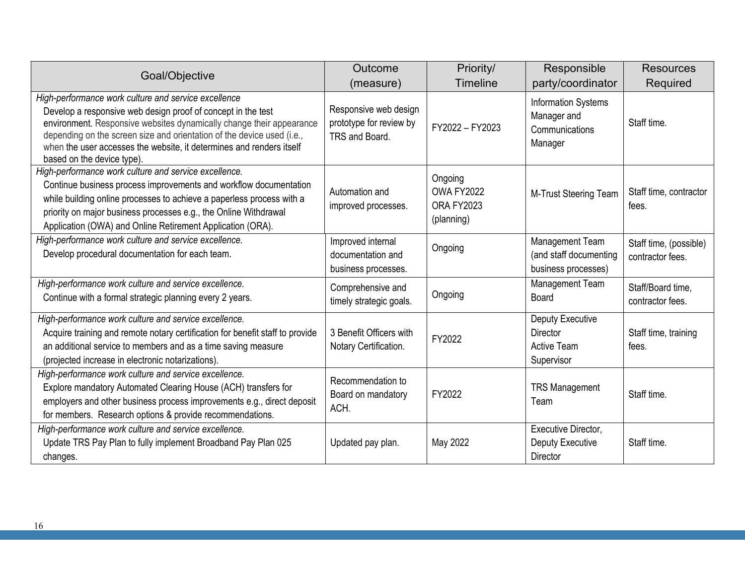| Goal/Objective                                                                                                                                                                                                                                                                                                                                                               | Outcome                                                            | Priority/                                         | Responsible                                                                    | <b>Resources</b>                           |
|------------------------------------------------------------------------------------------------------------------------------------------------------------------------------------------------------------------------------------------------------------------------------------------------------------------------------------------------------------------------------|--------------------------------------------------------------------|---------------------------------------------------|--------------------------------------------------------------------------------|--------------------------------------------|
|                                                                                                                                                                                                                                                                                                                                                                              | (measure)                                                          | <b>Timeline</b>                                   | party/coordinator                                                              | Required                                   |
| High-performance work culture and service excellence<br>Develop a responsive web design proof of concept in the test<br>environment. Responsive websites dynamically change their appearance<br>depending on the screen size and orientation of the device used (i.e.,<br>when the user accesses the website, it determines and renders itself<br>based on the device type). | Responsive web design<br>prototype for review by<br>TRS and Board. | FY2022 - FY2023                                   | <b>Information Systems</b><br>Manager and<br>Communications<br>Manager         | Staff time.                                |
| High-performance work culture and service excellence.<br>Continue business process improvements and workflow documentation<br>while building online processes to achieve a paperless process with a<br>priority on major business processes e.g., the Online Withdrawal<br>Application (OWA) and Online Retirement Application (ORA).                                        | Automation and<br>improved processes.                              | Ongoing<br>OWA FY2022<br>ORA FY2023<br>(planning) | M-Trust Steering Team                                                          | Staff time, contractor<br>fees.            |
| High-performance work culture and service excellence.<br>Develop procedural documentation for each team.                                                                                                                                                                                                                                                                     | Improved internal<br>documentation and<br>business processes.      | Ongoing                                           | Management Team<br>(and staff documenting<br>business processes)               | Staff time, (possible)<br>contractor fees. |
| High-performance work culture and service excellence.<br>Continue with a formal strategic planning every 2 years.                                                                                                                                                                                                                                                            | Comprehensive and<br>timely strategic goals.                       | Ongoing                                           | Management Team<br>Board                                                       | Staff/Board time,<br>contractor fees.      |
| High-performance work culture and service excellence.<br>Acquire training and remote notary certification for benefit staff to provide<br>an additional service to members and as a time saving measure<br>(projected increase in electronic notarizations).                                                                                                                 | 3 Benefit Officers with<br>Notary Certification.                   | FY2022                                            | <b>Deputy Executive</b><br><b>Director</b><br><b>Active Team</b><br>Supervisor | Staff time, training<br>fees.              |
| High-performance work culture and service excellence.<br>Explore mandatory Automated Clearing House (ACH) transfers for<br>employers and other business process improvements e.g., direct deposit<br>for members. Research options & provide recommendations.                                                                                                                | Recommendation to<br>Board on mandatory<br>ACH.                    | FY2022                                            | <b>TRS Management</b><br>Team                                                  | Staff time.                                |
| High-performance work culture and service excellence.<br>Update TRS Pay Plan to fully implement Broadband Pay Plan 025<br>changes.                                                                                                                                                                                                                                           | Updated pay plan.                                                  | May 2022                                          | <b>Executive Director,</b><br><b>Deputy Executive</b><br>Director              | Staff time.                                |